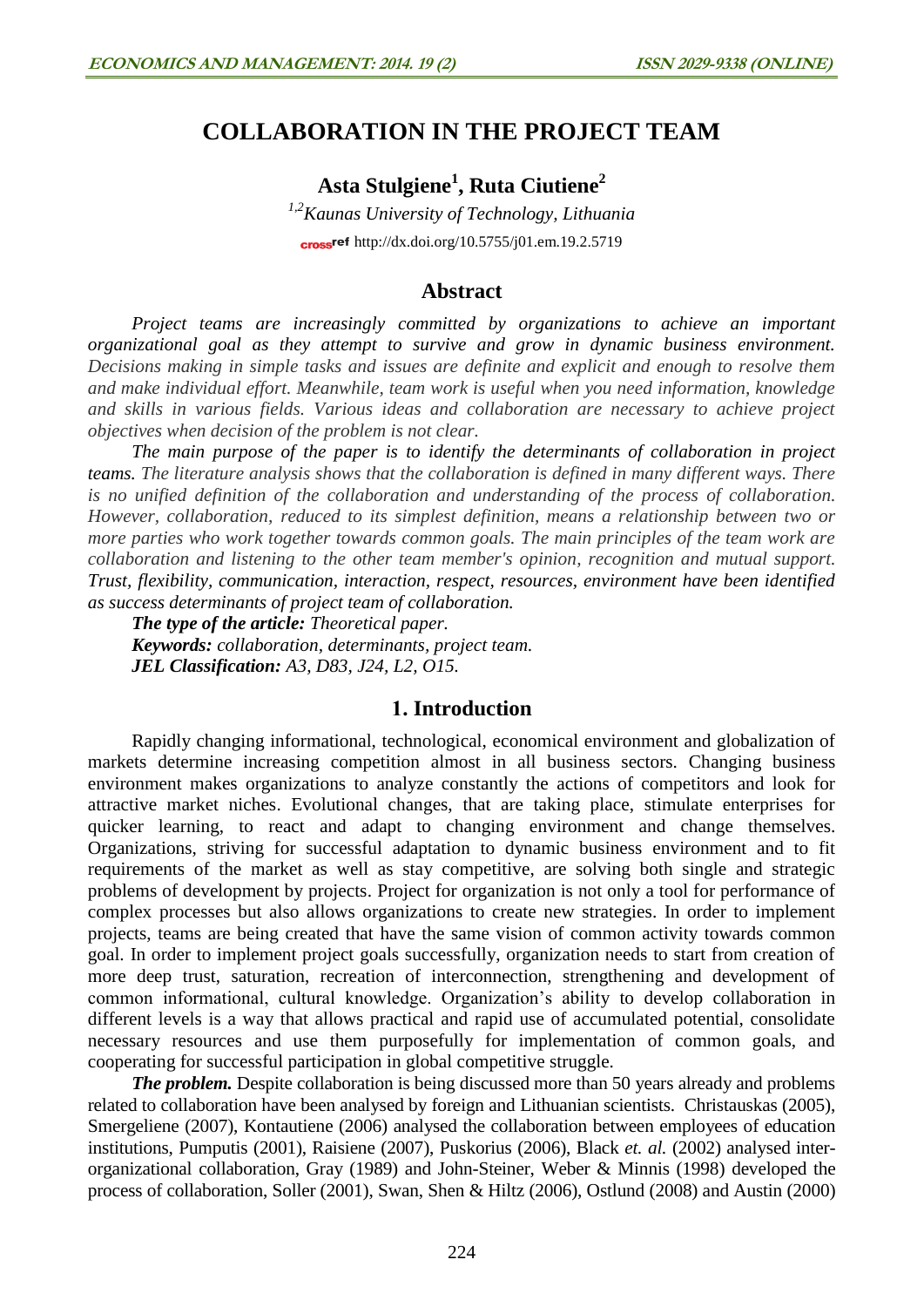# **COLLABORATION IN THE PROJECT TEAM**

**Asta Stulgiene<sup>1</sup> , Ruta Ciutiene<sup>2</sup>**

*1,2Kaunas University of Technology, Lithuania* cross<sup>ref</sup> <http://dx.doi.org/10.5755/j01.em.19.2.5719>

### **Abstract**

*Project teams are increasingly committed by organizations to achieve an important organizational goal as they attempt to survive and grow in dynamic business environment. Decisions making in simple tasks and issues are definite and explicit and enough to resolve them and make individual effort. Meanwhile, team work is useful when you need information, knowledge and skills in various fields. Various ideas and collaboration are necessary to achieve project objectives when decision of the problem is not clear.* 

*The main purpose of the paper is to identify the determinants of collaboration in project teams. The literature analysis shows that the collaboration is defined in many different ways. There is no unified definition of the collaboration and understanding of the process of collaboration. However, collaboration, reduced to its simplest definition, means a relationship between two or more parties who work together towards common goals. The main principles of the team work are collaboration and listening to the other team member's opinion, recognition and mutual support. Trust, flexibility, communication, interaction, respect, resources, environment have been identified as success determinants of project team of collaboration.*

*The type of the article: Theoretical paper. Keywords: collaboration, determinants, project team. JEL Classification: A3, D83, J24, L2, O15.*

## **1. Introduction**

Rapidly changing informational, technological, economical environment and globalization of markets determine increasing competition almost in all business sectors. Changing business environment makes organizations to analyze constantly the actions of competitors and look for attractive market niches. Evolutional changes, that are taking place, stimulate enterprises for quicker learning, to react and adapt to changing environment and change themselves. Organizations, striving for successful adaptation to dynamic business environment and to fit requirements of the market as well as stay competitive, are solving both single and strategic problems of development by projects. Project for organization is not only a tool for performance of complex processes but also allows organizations to create new strategies. In order to implement projects, teams are being created that have the same vision of common activity towards common goal. In order to implement project goals successfully, organization needs to start from creation of more deep trust, saturation, recreation of interconnection, strengthening and development of common informational, cultural knowledge. Organization's ability to develop collaboration in different levels is a way that allows practical and rapid use of accumulated potential, consolidate necessary resources and use them purposefully for implementation of common goals, and cooperating for successful participation in global competitive struggle.

*The problem.* Despite collaboration is being discussed more than 50 years already and problems related to collaboration have been analysed by foreign and Lithuanian scientists. Christauskas (2005), Smergeliene (2007), Kontautiene (2006) analysed the collaboration between employees of education institutions, Pumputis (2001), Raisiene (2007), Puskorius (2006), Black *et. al.* (2002) analysed interorganizational collaboration, Gray (1989) and John-Steiner, Weber & Minnis (1998) developed the process of collaboration, Soller (2001), Swan, Shen & Hiltz (2006), Ostlund (2008) and Austin (2000)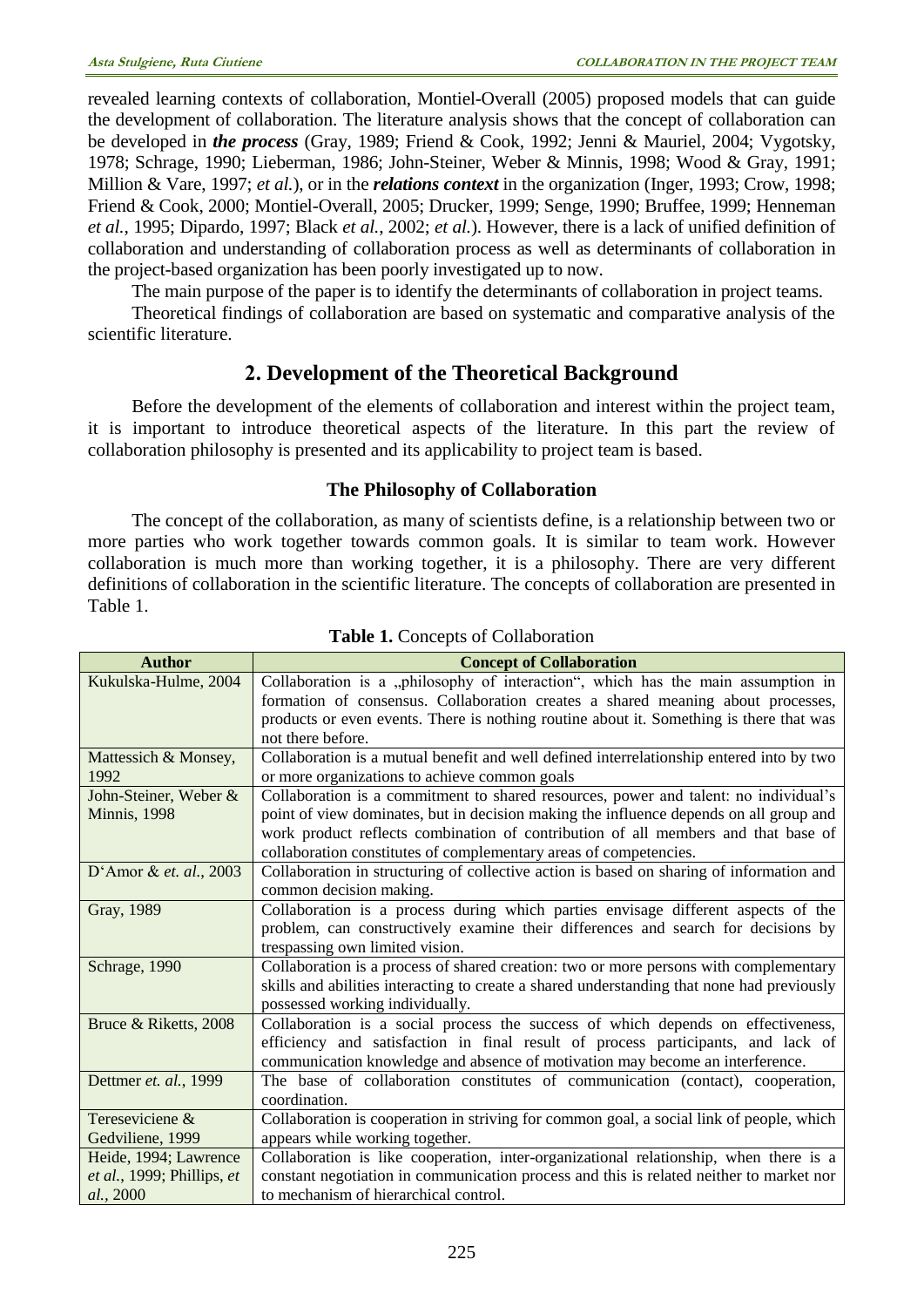revealed learning contexts of collaboration, Montiel-Overall (2005) proposed models that can guide the development of collaboration. The literature analysis shows that the concept of collaboration can be developed in *the process* (Gray, 1989; Friend & Cook, 1992; Jenni & Mauriel, 2004; Vygotsky, 1978; Schrage, 1990; Lieberman, 1986; John-Steiner, Weber & Minnis, 1998; Wood & Gray, 1991; Million & Vare, 1997; *et al.*), or in the *relations context* in the organization (Inger, 1993; Crow, 1998; Friend & Cook, 2000; Montiel-Overall, 2005; Drucker, 1999; Senge, 1990; Bruffee, 1999; Henneman *et al.*, 1995; Dipardo, 1997; Black *et al.*, 2002; *et al.*). However, there is a lack of unified definition of collaboration and understanding of collaboration process as well as determinants of collaboration in the project-based organization has been poorly investigated up to now.

The main purpose of the paper is to identify the determinants of collaboration in project teams.

Theoretical findings of collaboration are based on systematic and comparative analysis of the scientific literature.

# **2. Development of the Theoretical Background**

Before the development of the elements of collaboration and interest within the project team, it is important to introduce theoretical aspects of the literature. In this part the review of collaboration philosophy is presented and its applicability to project team is based.

#### **The Philosophy of Collaboration**

The concept of the collaboration, as many of scientists define, is a relationship between two or more parties who work together towards common goals. It is similar to team work. However collaboration is much more than working together, it is a philosophy. There are very different definitions of collaboration in the scientific literature. The concepts of collaboration are presented in Table 1.

| <b>Author</b>              | <b>Concept of Collaboration</b>                                                            |
|----------------------------|--------------------------------------------------------------------------------------------|
| Kukulska-Hulme, 2004       | Collaboration is a "philosophy of interaction", which has the main assumption in           |
|                            | formation of consensus. Collaboration creates a shared meaning about processes,            |
|                            | products or even events. There is nothing routine about it. Something is there that was    |
|                            | not there before.                                                                          |
| Mattessich & Monsey,       | Collaboration is a mutual benefit and well defined interrelationship entered into by two   |
| 1992                       | or more organizations to achieve common goals                                              |
| John-Steiner, Weber &      | Collaboration is a commitment to shared resources, power and talent: no individual's       |
| <b>Minnis</b> , 1998       | point of view dominates, but in decision making the influence depends on all group and     |
|                            | work product reflects combination of contribution of all members and that base of          |
|                            | collaboration constitutes of complementary areas of competencies.                          |
| D'Amor & et. al., 2003     | Collaboration in structuring of collective action is based on sharing of information and   |
|                            | common decision making.                                                                    |
| Gray, 1989                 | Collaboration is a process during which parties envisage different aspects of the          |
|                            | problem, can constructively examine their differences and search for decisions by          |
|                            | trespassing own limited vision.                                                            |
| Schrage, 1990              | Collaboration is a process of shared creation: two or more persons with complementary      |
|                            | skills and abilities interacting to create a shared understanding that none had previously |
|                            | possessed working individually.                                                            |
| Bruce & Riketts, 2008      | Collaboration is a social process the success of which depends on effectiveness,           |
|                            | efficiency and satisfaction in final result of process participants, and lack of           |
|                            | communication knowledge and absence of motivation may become an interference.              |
| Dettmer et. al., 1999      | The base of collaboration constitutes of communication (contact), cooperation,             |
|                            | coordination.                                                                              |
| Tereseviciene &            | Collaboration is cooperation in striving for common goal, a social link of people, which   |
| Gedviliene, 1999           | appears while working together.                                                            |
| Heide, 1994; Lawrence      | Collaboration is like cooperation, inter-organizational relationship, when there is a      |
| et al., 1999; Phillips, et | constant negotiation in communication process and this is related neither to market nor    |
| al., 2000                  | to mechanism of hierarchical control.                                                      |

#### **Table 1.** Concepts of Collaboration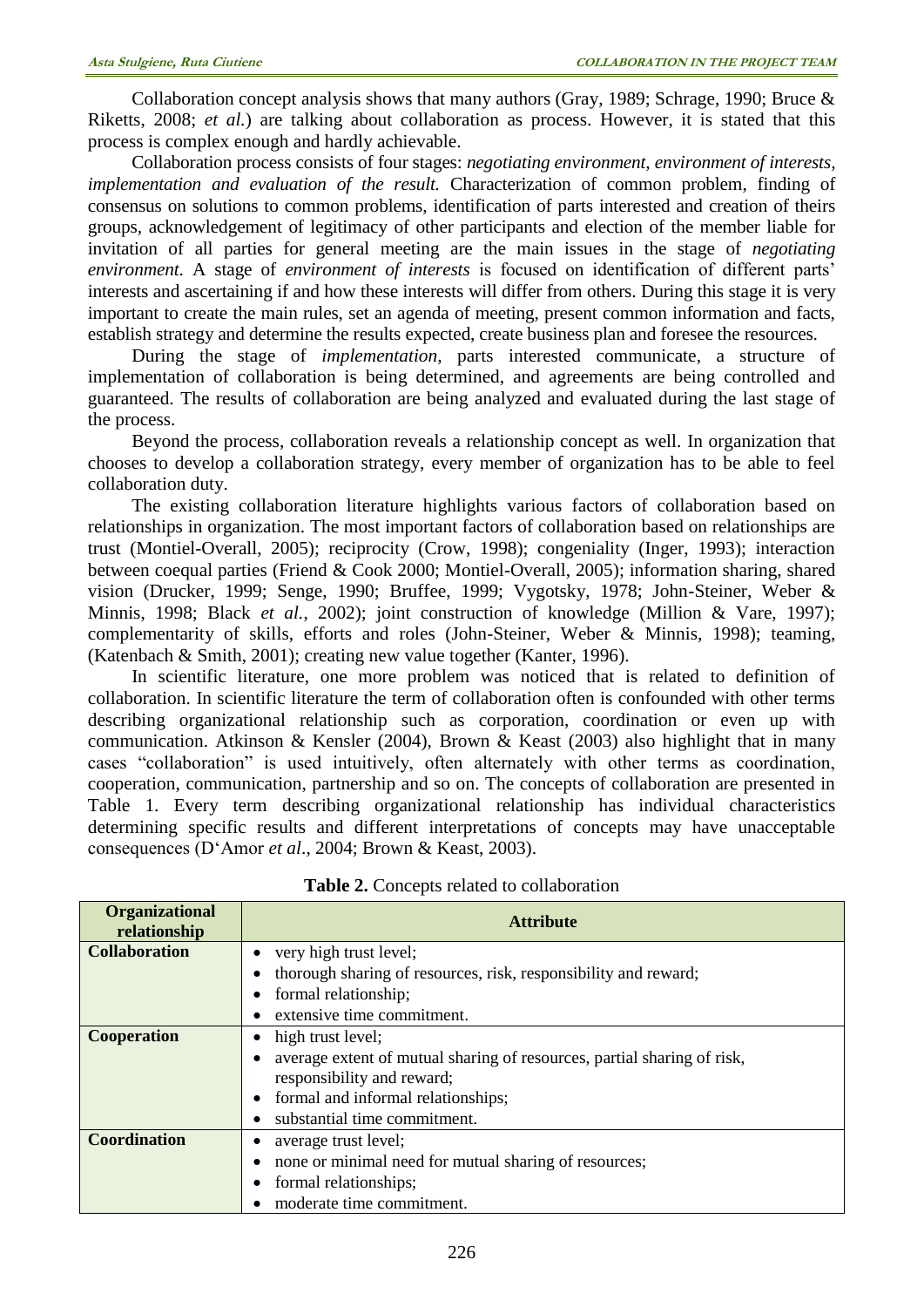Collaboration concept analysis shows that many authors (Gray, 1989; Schrage, 1990; Bruce & Riketts, 2008; *et al.*) are talking about collaboration as process. However, it is stated that this process is complex enough and hardly achievable.

Collaboration process consists of four stages: *negotiating environment, environment of interests, implementation and evaluation of the result.* Characterization of common problem, finding of consensus on solutions to common problems, identification of parts interested and creation of theirs groups, acknowledgement of legitimacy of other participants and election of the member liable for invitation of all parties for general meeting are the main issues in the stage of *negotiating environment*. A stage of *environment of interests* is focused on identification of different parts' interests and ascertaining if and how these interests will differ from others. During this stage it is very important to create the main rules, set an agenda of meeting, present common information and facts, establish strategy and determine the results expected, create business plan and foresee the resources.

During the stage of *implementation*, parts interested communicate, a structure of implementation of collaboration is being determined, and agreements are being controlled and guaranteed. The results of collaboration are being analyzed and evaluated during the last stage of the process.

Beyond the process, collaboration reveals a relationship concept as well. In organization that chooses to develop a collaboration strategy, every member of organization has to be able to feel collaboration duty.

The existing collaboration literature highlights various factors of collaboration based on relationships in organization. The most important factors of collaboration based on relationships are trust (Montiel-Overall, 2005); reciprocity (Crow, 1998); congeniality (Inger, 1993); interaction between coequal parties (Friend & Cook 2000; Montiel-Overall, 2005); information sharing, shared vision (Drucker, 1999; Senge, 1990; Bruffee, 1999; Vygotsky, 1978; John-Steiner, Weber & Minnis, 1998; Black *et al.*, 2002); joint construction of knowledge (Million & Vare, 1997); complementarity of skills, efforts and roles (John-Steiner, Weber & Minnis, 1998); teaming, (Katenbach & Smith, 2001); creating new value together (Kanter, 1996).

In scientific literature, one more problem was noticed that is related to definition of collaboration. In scientific literature the term of collaboration often is confounded with other terms describing organizational relationship such as corporation, coordination or even up with communication. Atkinson & Kensler (2004), Brown & Keast (2003) also highlight that in many cases "collaboration" is used intuitively, often alternately with other terms as coordination, cooperation, communication, partnership and so on. The concepts of collaboration are presented in Table 1. Every term describing organizational relationship has individual characteristics determining specific results and different interpretations of concepts may have unacceptable consequences (D'Amor *et al*., 2004; Brown & Keast, 2003).

| <b>Organizational</b><br>relationship | <b>Attribute</b>                                                        |
|---------------------------------------|-------------------------------------------------------------------------|
| <b>Collaboration</b>                  | very high trust level;<br>$\bullet$                                     |
|                                       | thorough sharing of resources, risk, responsibility and reward;         |
|                                       | formal relationship;<br>٠                                               |
|                                       | extensive time commitment.                                              |
| <b>Cooperation</b>                    | high trust level;<br>٠                                                  |
|                                       | average extent of mutual sharing of resources, partial sharing of risk, |
|                                       | responsibility and reward;                                              |
|                                       | formal and informal relationships;<br>$\bullet$                         |
|                                       | substantial time commitment.                                            |
| <b>Coordination</b>                   | average trust level;                                                    |
|                                       | none or minimal need for mutual sharing of resources;                   |
|                                       | formal relationships;                                                   |
|                                       | moderate time commitment.                                               |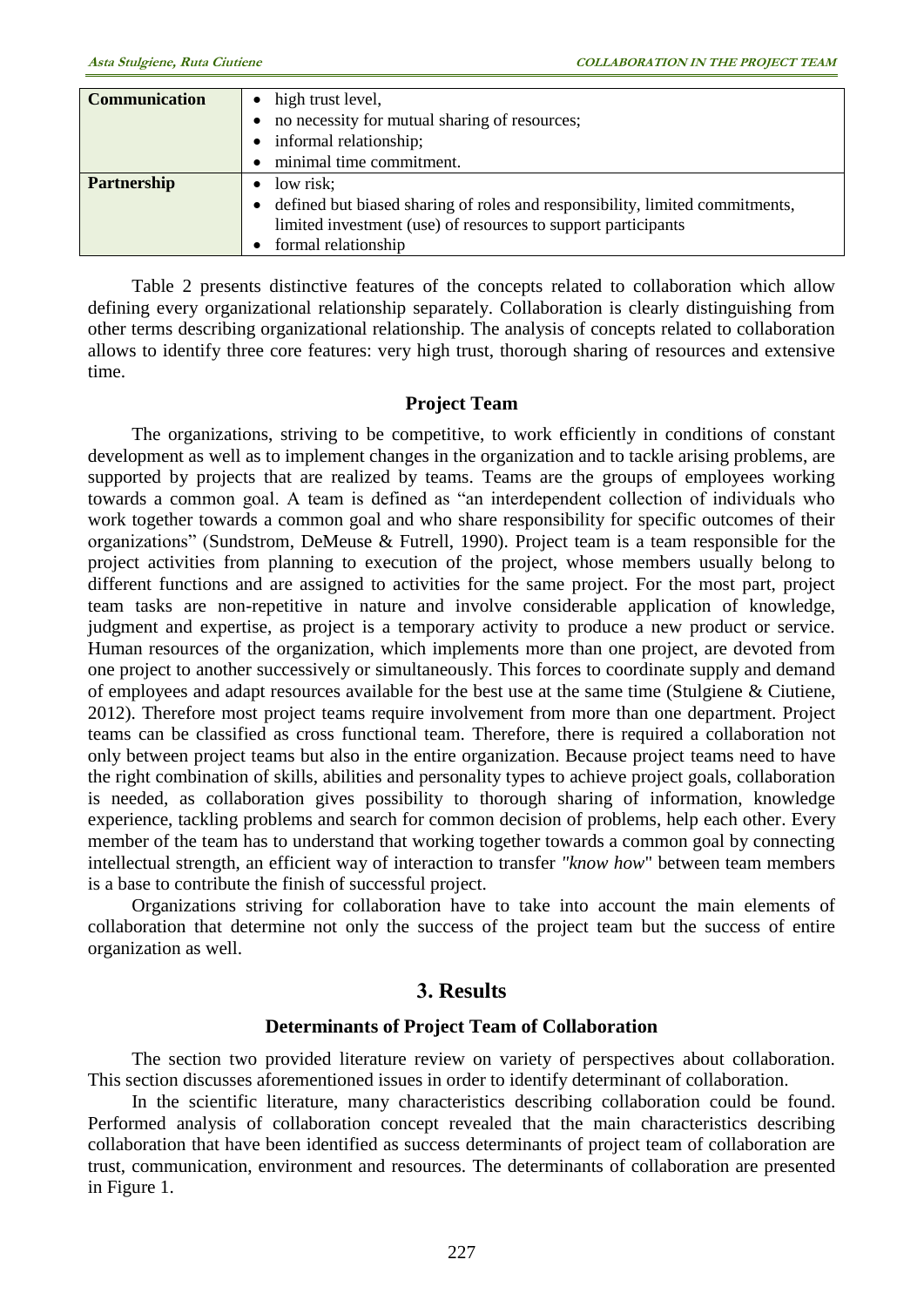| <b>Communication</b> | • high trust level,                                                            |
|----------------------|--------------------------------------------------------------------------------|
|                      | • no necessity for mutual sharing of resources;                                |
|                      | • informal relationship;                                                       |
|                      | minimal time commitment.                                                       |
| <b>Partnership</b>   | $\bullet$ low risk;                                                            |
|                      | • defined but biased sharing of roles and responsibility, limited commitments, |
|                      | limited investment (use) of resources to support participants                  |
|                      | formal relationship                                                            |

Table 2 presents distinctive features of the concepts related to collaboration which allow defining every organizational relationship separately. Collaboration is clearly distinguishing from other terms describing organizational relationship. The analysis of concepts related to collaboration allows to identify three core features: very high trust, thorough sharing of resources and extensive time.

#### **Project Team**

The organizations, striving to be competitive, to work efficiently in conditions of constant development as well as to implement changes in the organization and to tackle arising problems, are supported by projects that are realized by teams. Teams are the groups of employees working towards a common goal. A team is defined as "an interdependent collection of individuals who work together towards a common goal and who share responsibility for specific outcomes of their organizations" (Sundstrom, DeMeuse & Futrell, 1990). Project team is a team responsible for the project activities from planning to execution of the project, whose members usually belong to different functions and are assigned to activities for the same project. For the most part, project team tasks are non-repetitive in nature and involve considerable application of knowledge, judgment and expertise, as project is a temporary activity to produce a new product or service. Human resources of the organization, which implements more than one project, are devoted from one project to another successively or simultaneously. This forces to coordinate supply and demand of employees and adapt resources available for the best use at the same time (Stulgiene & Ciutiene, 2012). Therefore most project teams require involvement from more than one department. Project teams can be classified as cross functional team. Therefore, there is required a collaboration not only between project teams but also in the entire organization. Because project teams need to have the right combination of skills, abilities and personality types to achieve project goals, collaboration is needed, as collaboration gives possibility to thorough sharing of information, knowledge experience, tackling problems and search for common decision of problems, help each other. Every member of the team has to understand that working together towards a common goal by connecting intellectual strength, an efficient way of interaction to transfer *"know how*" between team members is a base to contribute the finish of successful project.

Organizations striving for collaboration have to take into account the main elements of collaboration that determine not only the success of the project team but the success of entire organization as well.

## **3. Results**

#### **Determinants of Project Team of Collaboration**

The section two provided literature review on variety of perspectives about collaboration. This section discusses aforementioned issues in order to identify determinant of collaboration.

In the scientific literature, many characteristics describing collaboration could be found. Performed analysis of collaboration concept revealed that the main characteristics describing collaboration that have been identified as success determinants of project team of collaboration are trust, communication, environment and resources. The determinants of collaboration are presented in Figure 1.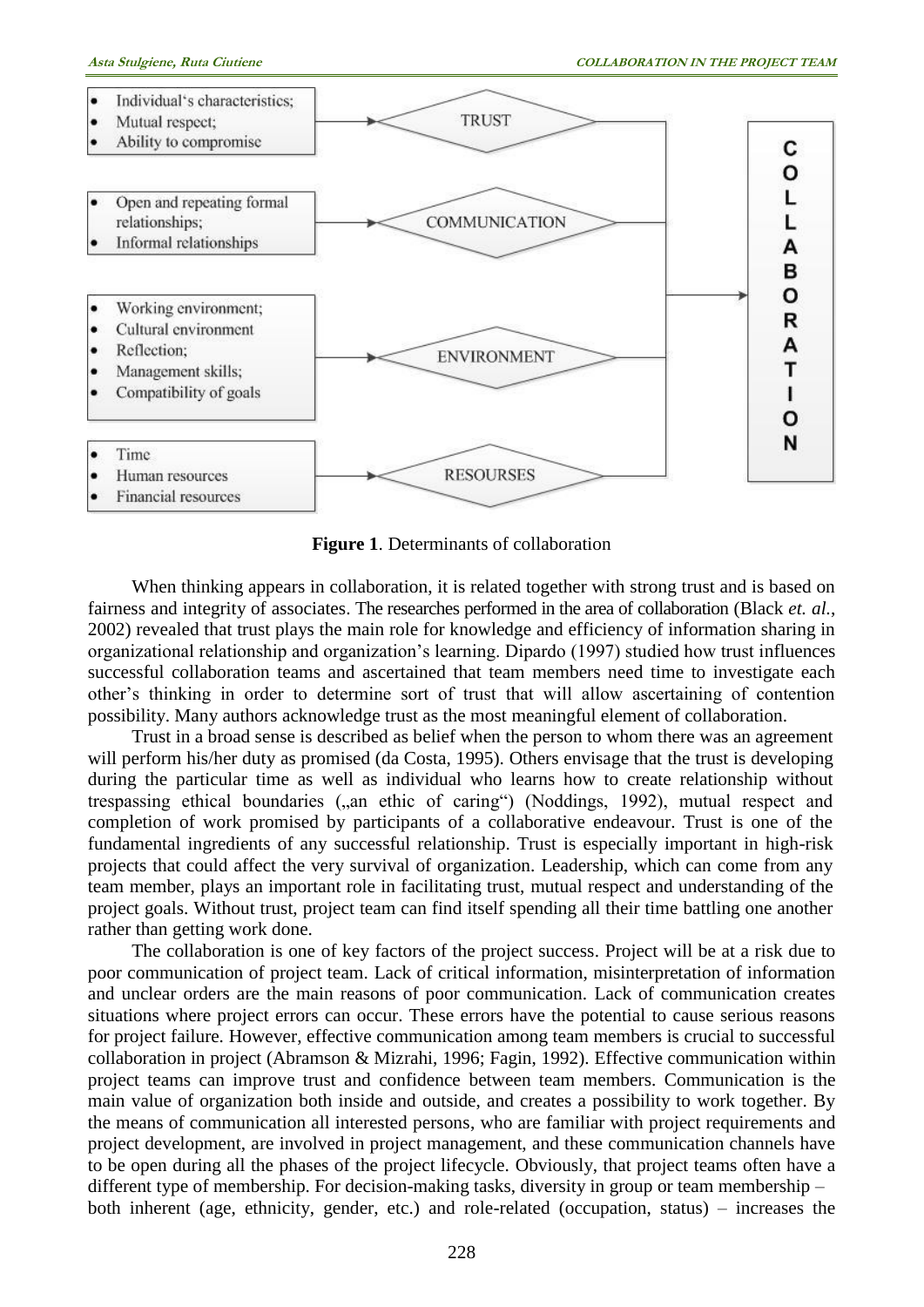

**Figure 1**. Determinants of collaboration

When thinking appears in collaboration, it is related together with strong trust and is based on fairness and integrity of associates. The researches performed in the area of collaboration (Black *et. al.*, 2002) revealed that trust plays the main role for knowledge and efficiency of information sharing in organizational relationship and organization's learning. Dipardo (1997) studied how trust influences successful collaboration teams and ascertained that team members need time to investigate each other's thinking in order to determine sort of trust that will allow ascertaining of contention possibility. Many authors acknowledge trust as the most meaningful element of collaboration.

Trust in a broad sense is described as belief when the person to whom there was an agreement will perform his/her duty as promised (da Costa, 1995). Others envisage that the trust is developing during the particular time as well as individual who learns how to create relationship without trespassing ethical boundaries ("an ethic of caring") (Noddings, 1992), mutual respect and completion of work promised by participants of a collaborative endeavour. Trust is one of the fundamental ingredients of any successful relationship. Trust is especially important in high-risk projects that could affect the very survival of organization. Leadership, which can come from any team member, plays an important role in facilitating trust, mutual respect and understanding of the project goals. Without trust, project team can find itself spending all their time battling one another rather than getting work done.

The collaboration is one of key factors of the project success. Project will be at a risk due to poor communication of project team. Lack of critical information, misinterpretation of information and unclear orders are the main reasons of poor communication. Lack of communication creates situations where project errors can occur. These errors have the potential to cause serious reasons for project failure. However, effective communication among team members is crucial to successful collaboration in project (Abramson & Mizrahi, 1996; Fagin, 1992). Effective communication within project teams can improve trust and confidence between team members. Communication is the main value of organization both inside and outside, and creates a possibility to work together. By the means of communication all interested persons, who are familiar with project requirements and project development, are involved in project management, and these communication channels have to be open during all the phases of the project lifecycle. Obviously, that project teams often have a different type of membership. For decision-making tasks, diversity in group or team membership – both inherent (age, ethnicity, gender, etc.) and role-related (occupation, status) – increases the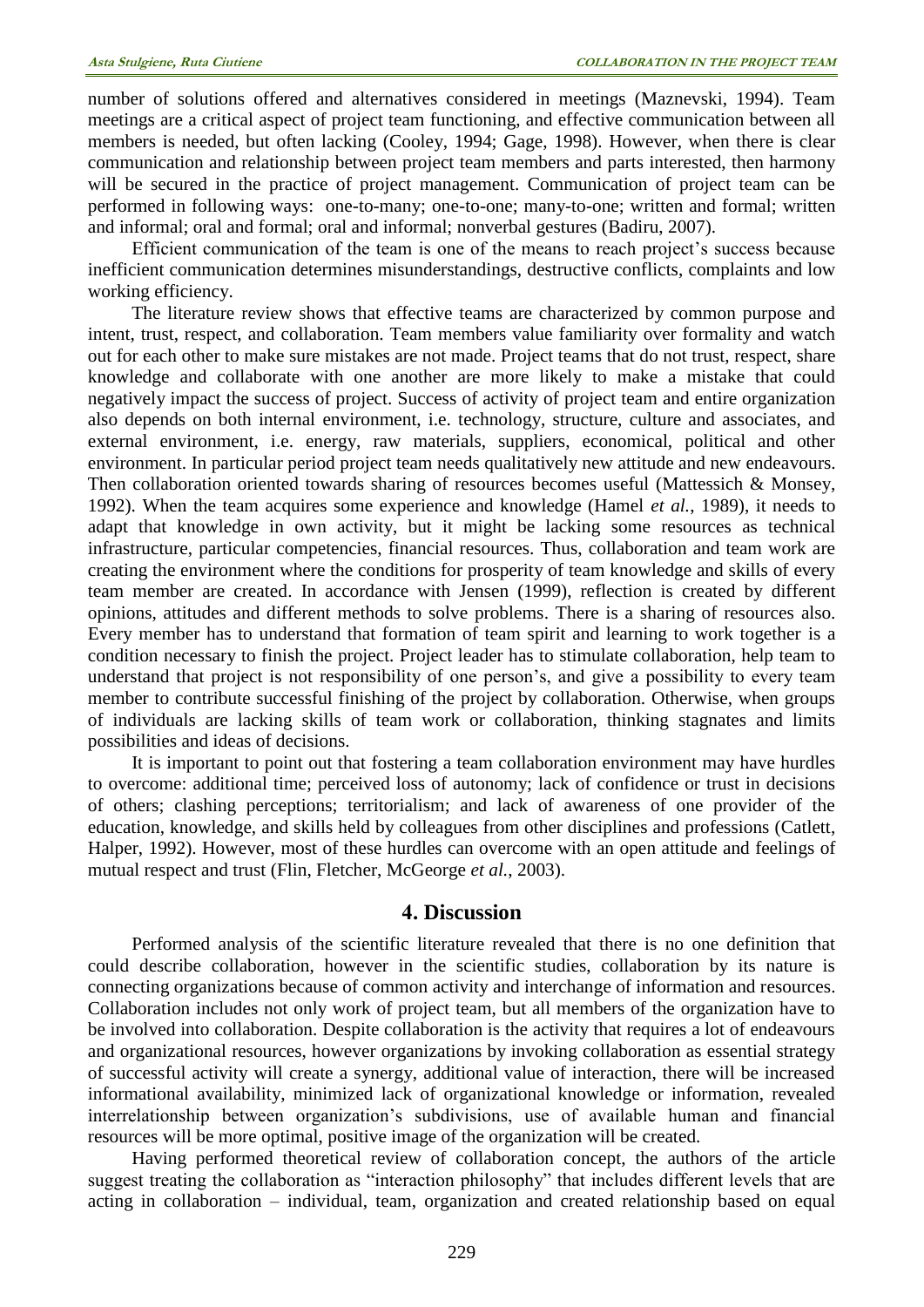number of solutions offered and alternatives considered in meetings (Maznevski, 1994). Team meetings are a critical aspect of project team functioning, and effective communication between all members is needed, but often lacking (Cooley, 1994; Gage, 1998). However, when there is clear communication and relationship between project team members and parts interested, then harmony will be secured in the practice of project management. Communication of project team can be performed in following ways: one-to-many; one-to-one; many-to-one; written and formal; written and informal; oral and formal; oral and informal; nonverbal gestures (Badiru, 2007).

Efficient communication of the team is one of the means to reach project's success because inefficient communication determines misunderstandings, destructive conflicts, complaints and low working efficiency.

The literature review shows that effective teams are characterized by common purpose and intent, trust, respect, and collaboration. Team members value familiarity over formality and watch out for each other to make sure mistakes are not made. Project teams that do not trust, respect, share knowledge and collaborate with one another are more likely to make a mistake that could negatively impact the success of project. Success of activity of project team and entire organization also depends on both internal environment, i.e. technology, structure, culture and associates, and external environment, i.e. energy, raw materials, suppliers, economical, political and other environment. In particular period project team needs qualitatively new attitude and new endeavours. Then collaboration oriented towards sharing of resources becomes useful (Mattessich & Monsey, 1992). When the team acquires some experience and knowledge (Hamel *et al.*, 1989), it needs to adapt that knowledge in own activity, but it might be lacking some resources as technical infrastructure, particular competencies, financial resources. Thus, collaboration and team work are creating the environment where the conditions for prosperity of team knowledge and skills of every team member are created. In accordance with Jensen (1999), reflection is created by different opinions, attitudes and different methods to solve problems. There is a sharing of resources also. Every member has to understand that formation of team spirit and learning to work together is a condition necessary to finish the project. Project leader has to stimulate collaboration, help team to understand that project is not responsibility of one person's, and give a possibility to every team member to contribute successful finishing of the project by collaboration. Otherwise, when groups of individuals are lacking skills of team work or collaboration, thinking stagnates and limits possibilities and ideas of decisions.

It is important to point out that fostering a team collaboration environment may have hurdles to overcome: additional time; perceived loss of autonomy; lack of confidence or trust in decisions of others; clashing perceptions; territorialism; and lack of awareness of one provider of the education, knowledge, and skills held by colleagues from other disciplines and professions (Catlett, Halper, 1992). However, most of these hurdles can overcome with an open attitude and feelings of mutual respect and trust (Flin, Fletcher, McGeorge *et al.*, 2003).

#### **4. Discussion**

Performed analysis of the scientific literature revealed that there is no one definition that could describe collaboration, however in the scientific studies, collaboration by its nature is connecting organizations because of common activity and interchange of information and resources. Collaboration includes not only work of project team, but all members of the organization have to be involved into collaboration. Despite collaboration is the activity that requires a lot of endeavours and organizational resources, however organizations by invoking collaboration as essential strategy of successful activity will create a synergy, additional value of interaction, there will be increased informational availability, minimized lack of organizational knowledge or information, revealed interrelationship between organization's subdivisions, use of available human and financial resources will be more optimal, positive image of the organization will be created.

Having performed theoretical review of collaboration concept, the authors of the article suggest treating the collaboration as "interaction philosophy" that includes different levels that are acting in collaboration – individual, team, organization and created relationship based on equal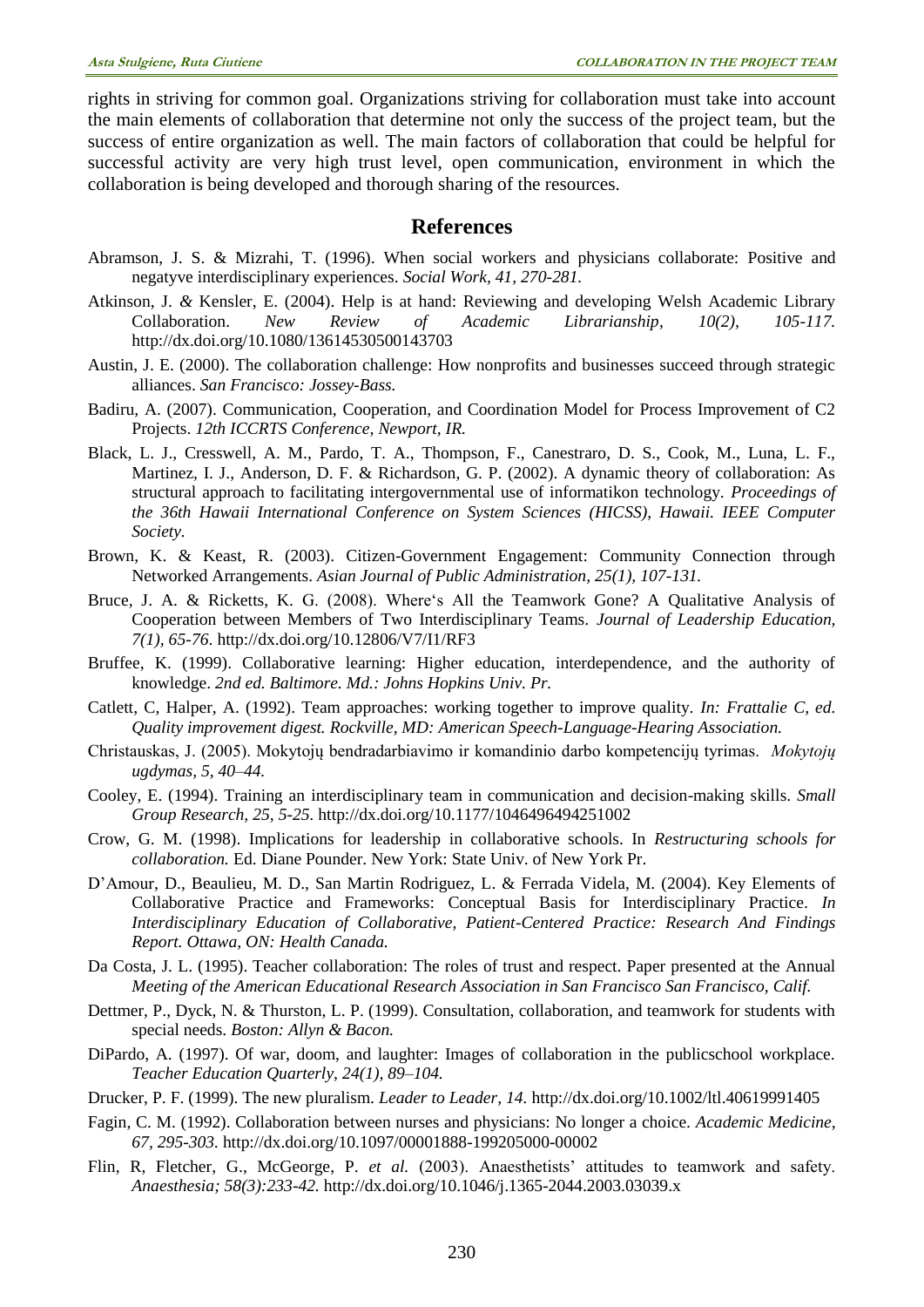rights in striving for common goal. Organizations striving for collaboration must take into account the main elements of collaboration that determine not only the success of the project team, but the success of entire organization as well. The main factors of collaboration that could be helpful for successful activity are very high trust level, open communication, environment in which the collaboration is being developed and thorough sharing of the resources.

#### **References**

- Abramson, J. S. & Mizrahi, T. (1996). When social workers and physicians collaborate: Positive and negatyve interdisciplinary experiences. *Social Work, 41, 270-281.*
- Atkinson, J. *&* Kensler, E. (2004). Help is at hand: Reviewing and developing Welsh Academic Library Collaboration. *New Review of Academic Librarianship, 10(2), 105-117.* <http://dx.doi.org/10.1080/13614530500143703>
- Austin, J. E. (2000). The collaboration challenge: How nonprofits and businesses succeed through strategic alliances. *San Francisco: Jossey-Bass.*
- Badiru, A. (2007). Communication, Cooperation, and Coordination Model for Process Improvement of C2 Projects. *12th ICCRTS Conference, Newport, IR.*
- Black, L. J., Cresswell, A. M., Pardo, T. A., Thompson, F., Canestraro, D. S., Cook, M., Luna, L. F., Martinez, I. J., Anderson, D. F. & Richardson, G. P. (2002). A dynamic theory of collaboration: As structural approach to facilitating intergovernmental use of informatikon technology. *Proceedings of the 36th Hawaii International Conference on System Sciences (HICSS), Hawaii. IEEE Computer Society.*
- Brown, K. & Keast, R. (2003). Citizen-Government Engagement: Community Connection through Networked Arrangements. *Asian Journal of Public Administration, 25(1), 107-131.*
- Bruce, J. A. & Ricketts, K. G. (2008). Where's All the Teamwork Gone? A Qualitative Analysis of Cooperation between Members of Two Interdisciplinary Teams. *Journal of Leadership Education, 7(1), 65-76*. <http://dx.doi.org/10.12806/V7/I1/RF3>
- Bruffee, K. (1999). Collaborative learning: Higher education, interdependence, and the authority of knowledge. *2nd ed. Baltimore. Md.: Johns Hopkins Univ. Pr.*
- Catlett, C, Halper, A. (1992). Team approaches: working together to improve quality. *In: Frattalie C, ed. Quality improvement digest. Rockville, MD: American Speech-Language-Hearing Association.*
- Christauskas, J. (2005). Mokytojų bendradarbiavimo ir komandinio darbo kompetencijų tyrimas. *Mokytojų ugdymas, 5, 40–44.*
- Cooley, E. (1994). Training an interdisciplinary team in communication and decision-making skills. *Small Group Research, 25, 5-25.* <http://dx.doi.org/10.1177/1046496494251002>
- Crow, G. M. (1998). Implications for leadership in collaborative schools. In *Restructuring schools for collaboration.* Ed. Diane Pounder. New York: State Univ. of New York Pr.
- D'Amour, D., Beaulieu, M. D., San Martin Rodriguez, L. & Ferrada Videla, M. (2004). Key Elements of Collaborative Practice and Frameworks: Conceptual Basis for Interdisciplinary Practice. *In Interdisciplinary Education of Collaborative, Patient-Centered Practice: Research And Findings Report. Ottawa, ON: Health Canada.*
- Da Costa, J. L. (1995). Teacher collaboration: The roles of trust and respect. Paper presented at the Annual *Meeting of the American Educational Research Association in San Francisco San Francisco, Calif.*
- Dettmer, P., Dyck, N. & Thurston, L. P. (1999). Consultation, collaboration, and teamwork for students with special needs. *Boston: Allyn & Bacon.*
- DiPardo, A. (1997). Of war, doom, and laughter: Images of collaboration in the publicschool workplace. *Teacher Education Quarterly, 24(1), 89–104.*
- Drucker, P. F. (1999). The new pluralism. *Leader to Leader, 14.* <http://dx.doi.org/10.1002/ltl.40619991405>
- Fagin, C. M. (1992). Collaboration between nurses and physicians: No longer a choice. *Academic Medicine, 67, 295-303.* <http://dx.doi.org/10.1097/00001888-199205000-00002>
- Flin, R, Fletcher, G., McGeorge, P. *et al.* (2003). Anaesthetists' attitudes to teamwork and safety. *Anaesthesia; 58(3):233-42.* <http://dx.doi.org/10.1046/j.1365-2044.2003.03039.x>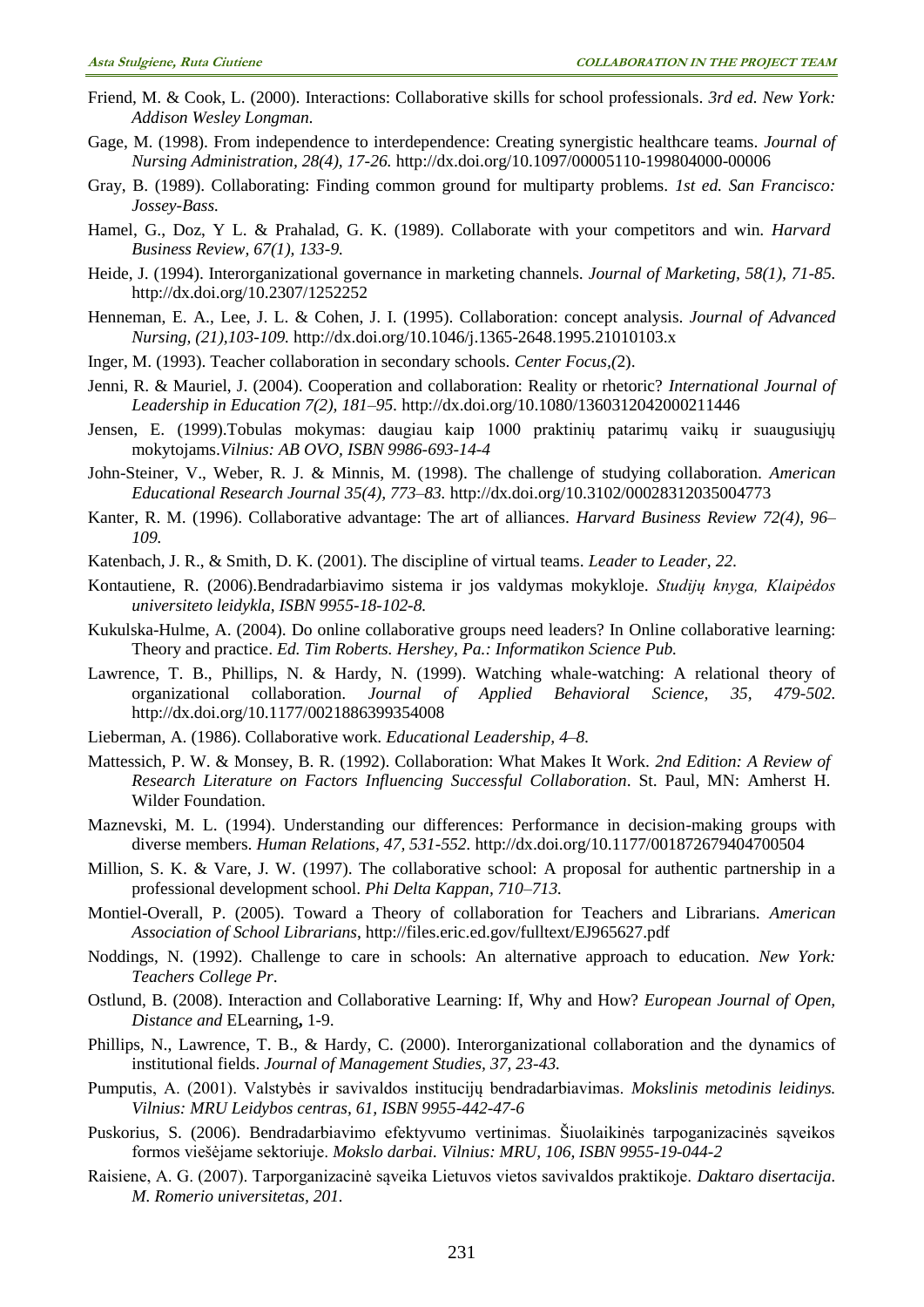- Friend, M. & Cook, L. (2000). Interactions: Collaborative skills for school professionals*. 3rd ed. New York: Addison Wesley Longman.*
- Gage, M. (1998). From independence to interdependence: Creating synergistic healthcare teams. *Journal of Nursing Administration, 28(4), 17-26.* <http://dx.doi.org/10.1097/00005110-199804000-00006>
- Gray, B. (1989). Collaborating: Finding common ground for multiparty problems. *1st ed. San Francisco: Jossey-Bass.*
- Hamel, G., Doz, Y L. & Prahalad, G. K. (1989). Collaborate with your competitors and win. *Harvard Business Review, 67(1), 133-9.*
- Heide, J. (1994). Interorganizational governance in marketing channels. *Journal of Marketing, 58(1), 71-85.* <http://dx.doi.org/10.2307/1252252>
- Henneman, E. A., Lee, J. L. & Cohen, J. I. (1995). Collaboration: concept analysis. *Journal of Advanced Nursing, (21),103-109.* <http://dx.doi.org/10.1046/j.1365-2648.1995.21010103.x>
- Inger, M. (1993). Teacher collaboration in secondary schools. *Center Focus,(*2).
- Jenni, R. & Mauriel, J. (2004). Cooperation and collaboration: Reality or rhetoric? *International Journal of Leadership in Education 7(2), 181–95.* <http://dx.doi.org/10.1080/1360312042000211446>
- Jensen, E. (1999).Tobulas mokymas: daugiau kaip 1000 praktinių patarimų vaikų ir suaugusiųjų mokytojams.*Vilnius: AB OVO, ISBN 9986-693-14-4*
- John-Steiner, V., Weber, R. J. & Minnis, M. (1998). The challenge of studying collaboration. *American Educational Research Journal 35(4), 773–83.* <http://dx.doi.org/10.3102/00028312035004773>
- Kanter, R. M. (1996). Collaborative advantage: The art of alliances. *Harvard Business Review 72(4), 96– 109.*
- Katenbach, J. R., & Smith, D. K. (2001). The discipline of virtual teams. *Leader to Leader, 22.*
- Kontautiene, R. (2006).Bendradarbiavimo sistema ir jos valdymas mokykloje. *Studijų knyga, Klaipėdos universiteto leidykla, ISBN 9955-18-102-8.*
- Kukulska-Hulme, A. (2004). Do online collaborative groups need leaders? In Online collaborative learning: Theory and practice. *Ed. Tim Roberts. Hershey, Pa.: Informatikon Science Pub.*
- Lawrence, T. B., Phillips, N. & Hardy, N. (1999). Watching whale-watching: A relational theory of organizational collaboration. *Journal of Applied Behavioral Science, 35, 479-502.* <http://dx.doi.org/10.1177/0021886399354008>
- Lieberman, A. (1986). Collaborative work. *Educational Leadership, 4–8.*
- Mattessich, P. W. & Monsey, B. R. (1992). Collaboration: What Makes It Work. *2nd Edition: A Review of Research Literature on Factors Influencing Successful Collaboration*. St. Paul, MN: Amherst H. Wilder Foundation.
- Maznevski, M. L. (1994). Understanding our differences: Performance in decision-making groups with diverse members. *Human Relations, 47, 531-552.* <http://dx.doi.org/10.1177/001872679404700504>
- Million, S. K. & Vare, J. W. (1997). The collaborative school: A proposal for authentic partnership in a professional development school. *Phi Delta Kappan, 710–713.*
- Montiel-Overall, P. (2005). Toward a Theory of collaboration for Teachers and Librarians. *American Association of School Librarians*, http://files.eric.ed.gov/fulltext/EJ965627.pdf
- Noddings, N. (1992). Challenge to care in schools: An alternative approach to education. *New York: Teachers College Pr*.
- Ostlund, B. (2008). Interaction and Collaborative Learning: If, Why and How? *European Journal of Open, Distance and* ELearning**,** 1-9.
- Phillips, N., Lawrence, T. B., & Hardy, C. (2000). Interorganizational collaboration and the dynamics of institutional fields. *Journal of Management Studies, 37, 23-43.*
- Pumputis, A. (2001). Valstybės ir savivaldos institucijų bendradarbiavimas. *Mokslinis metodinis leidinys. Vilnius: MRU Leidybos centras, 61, ISBN 9955-442-47-6*
- Puskorius, S. (2006). Bendradarbiavimo efektyvumo vertinimas. Šiuolaikinės tarpoganizacinės sąveikos formos viešėjame sektoriuje. *Mokslo darbai. Vilnius: MRU, 106, ISBN 9955-19-044-2*
- Raisiene, A. G. (2007). Tarporganizacinė sąveika Lietuvos vietos savivaldos praktikoje. *Daktaro disertacija. M. Romerio universitetas, 201.*